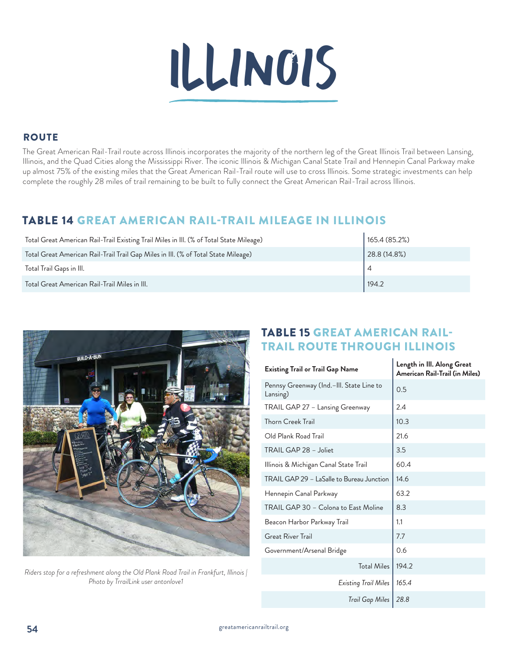

### **ROUTE**

The Great American Rail-Trail route across Illinois incorporates the majority of the northern leg of the Great Illinois Trail between Lansing, Illinois, and the Quad Cities along the Mississippi River. The iconic Illinois & Michigan Canal State Trail and Hennepin Canal Parkway make up almost 75% of the existing miles that the Great American Rail-Trail route will use to cross Illinois. Some strategic investments can help complete the roughly 28 miles of trail remaining to be built to fully connect the Great American Rail-Trail across Illinois.

## TABLE 14 GREAT AMERICAN RAIL-TRAIL MILEAGE IN ILLINOIS

| Total Great American Rail-Trail Existing Trail Miles in III. (% of Total State Mileage) | 165.4(85.2%) |
|-----------------------------------------------------------------------------------------|--------------|
| Total Great American Rail-Trail Trail Gap Miles in III. (% of Total State Mileage)      | 28.8(14.8%)  |
| Total Trail Gaps in Ill.                                                                |              |
| Total Great American Rail-Trail Miles in III.                                           | 194.2        |



*Riders stop for a refreshment along the Old Plank Road Trail in Frankfurt, Illinois | Photo by TrrailLink user antonlove1*

## TABLE 15 GREAT AMERICAN RAIL-TRAIL ROUTE THROUGH ILLINOIS

 $\mathbf{r}$ 

| <b>Existing Trail or Trail Gap Name</b>              | Length in III. Along Great<br>American Rail-Trail (in Miles) |
|------------------------------------------------------|--------------------------------------------------------------|
| Pennsy Greenway (Ind.–III. State Line to<br>Lansing) | 0.5                                                          |
| TRAIL GAP 27 - Lansing Greenway                      | 2.4                                                          |
| <b>Thorn Creek Trail</b>                             | 10.3                                                         |
| Old Plank Road Trail                                 | 21.6                                                         |
| TRAIL GAP 28 - Joliet                                | 3.5                                                          |
| Illinois & Michigan Canal State Trail                | 60.4                                                         |
| TRAIL GAP 29 - LaSalle to Bureau Junction            | 14.6                                                         |
| Hennepin Canal Parkway                               | 63.2                                                         |
| TRAIL GAP 30 - Colona to East Moline                 | 8.3                                                          |
| Beacon Harbor Parkway Trail                          | 1.1                                                          |
| <b>Great River Trail</b>                             | 7.7                                                          |
| Government/Arsenal Bridge                            | 0.6                                                          |
| <b>Total Miles</b>                                   | 194.2                                                        |
| Existing Trail Miles                                 | 165.4                                                        |
| Trail Gap Miles                                      | 28.8                                                         |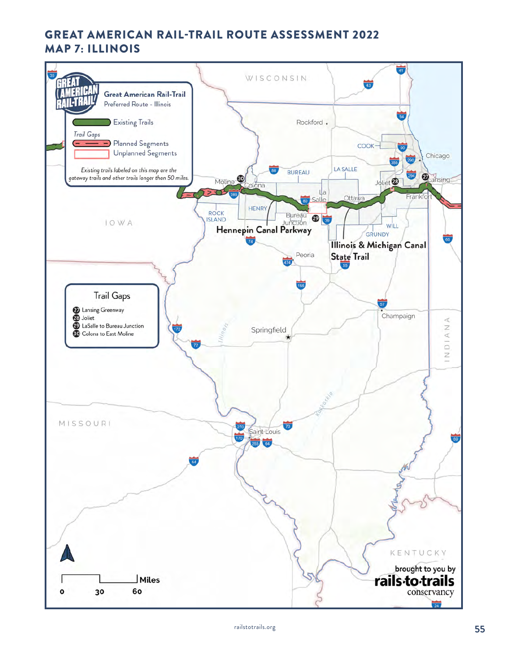## **GREAT AMERICAN RAIL-TRAIL ROUTE ASSESSMENT 2022 MAP 7: ILLINOIS**

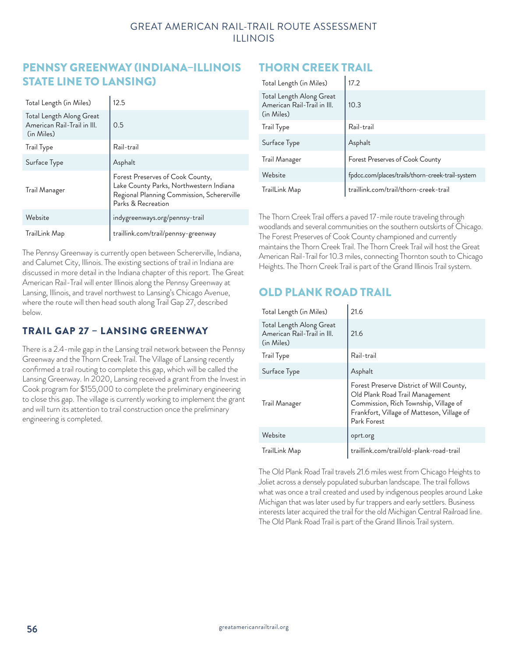#### GREAT AMERICAN RAIL-TRAIL ROUTE ASSESSMENT ILLINOIS

### PENNSY GREENWAY (INDIANA–ILLINOIS STATE LINE TO LANSING)

| Total Length (in Miles)                                               | 12.5                                                                                                                                            |
|-----------------------------------------------------------------------|-------------------------------------------------------------------------------------------------------------------------------------------------|
| Total Length Along Great<br>American Rail-Trail in III.<br>(in Miles) | 0.5                                                                                                                                             |
| <b>Trail Type</b>                                                     | Rail-trail                                                                                                                                      |
| Surface Type                                                          | Asphalt                                                                                                                                         |
| Trail Manager                                                         | Forest Preserves of Cook County,<br>Lake County Parks, Northwestern Indiana<br>Regional Planning Commission, Schererville<br>Parks & Recreation |
| Website                                                               | indygreenways.org/pennsy-trail                                                                                                                  |
| TrailLink Map                                                         | traillink.com/trail/pennsy-greenway                                                                                                             |

The Pennsy Greenway is currently open between Schererville, Indiana, and Calumet City, Illinois. The existing sections of trail in Indiana are discussed in more detail in the Indiana chapter of this report. The Great American Rail-Trail will enter Illinois along the Pennsy Greenway at Lansing, Illinois, and travel northwest to Lansing's Chicago Avenue, where the route will then head south along Trail Gap 27, described below.

### TRAIL GAP 27 – LANSING GREENWAY

There is a 2.4-mile gap in the Lansing trail network between the Pennsy Greenway and the Thorn Creek Trail. The Village of Lansing recently confirmed a trail routing to complete this gap, which will be called the Lansing Greenway. In 2020, Lansing received a grant from the Invest in Cook program for \$155,000 to complete the preliminary engineering to close this gap. The village is currently working to implement the grant and will turn its attention to trail construction once the preliminary engineering is completed.

# THORN CREEK TRAIL

| Total Length (in Miles)                                               | 17.2                                             |
|-----------------------------------------------------------------------|--------------------------------------------------|
| Total Length Along Great<br>American Rail-Trail in III.<br>(in Miles) | 10.3                                             |
| <b>Trail Type</b>                                                     | Rail-trail                                       |
| Surface Type                                                          | Asphalt                                          |
| Trail Manager                                                         | Forest Preserves of Cook County                  |
| Website                                                               | fpdcc.com/places/trails/thorn-creek-trail-system |
| TrailLink Map                                                         | traillink.com/trail/thorn-creek-trail            |

The Thorn Creek Trail offers a paved 17-mile route traveling through woodlands and several communities on the southern outskirts of Chicago. The Forest Preserves of Cook County championed and currently maintains the Thorn Creek Trail. The Thorn Creek Trail will host the Great American Rail-Trail for 10.3 miles, connecting Thornton south to Chicago Heights. The Thorn Creek Trail is part of the Grand Illinois Trail system.

# OLD PLANK ROAD TRAIL

| Total Length (in Miles)                                               | 21.6                                                                                                                                                                              |
|-----------------------------------------------------------------------|-----------------------------------------------------------------------------------------------------------------------------------------------------------------------------------|
| Total Length Along Great<br>American Rail-Trail in III.<br>(in Miles) | 21.6                                                                                                                                                                              |
| <b>Trail Type</b>                                                     | Rail-trail                                                                                                                                                                        |
| Surface Type                                                          | Asphalt                                                                                                                                                                           |
| Trail Manager                                                         | Forest Preserve District of Will County,<br>Old Plank Road Trail Management<br>Commission, Rich Township, Village of<br>Frankfort, Village of Matteson, Village of<br>Park Forest |
| Website                                                               | oprt.org                                                                                                                                                                          |
| TrailLink Map                                                         | traillink.com/trail/old-plank-road-trail                                                                                                                                          |

The Old Plank Road Trail travels 21.6 miles west from Chicago Heights to Joliet across a densely populated suburban landscape. The trail follows what was once a trail created and used by indigenous peoples around Lake Michigan that was later used by fur trappers and early settlers. Business interests later acquired the trail for the old Michigan Central Railroad line. The Old Plank Road Trail is part of the Grand Illinois Trail system.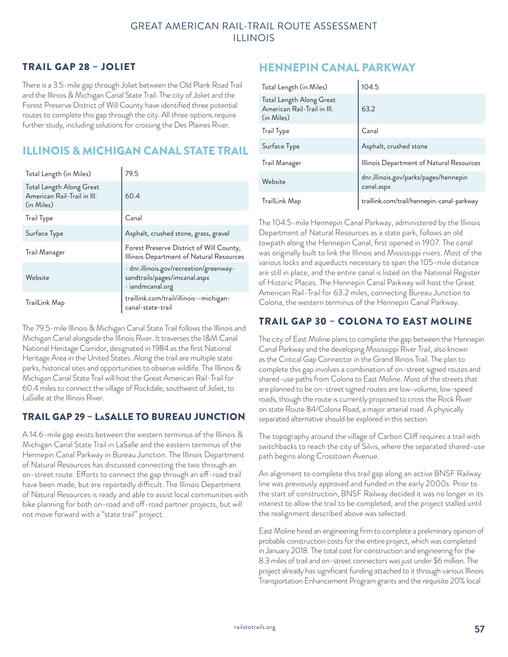#### GREAT AMERICAN RAIL-TRAIL ROUTE ASSESSMENT ILLINOIS

#### TRAIL GAP 28 – JOLIET

There is a 3.5-mile gap through Joliet between the Old Plank Road Trail and the Illinois & Michigan Canal State Trail. The city of Joliet and the Forest Preserve District of Will County have identified three potential routes to complete this gap through the city. All three options require further study, including solutions for crossing the Des Plaines River.

# ILLINOIS & MICHIGAN CANAL STATE TRAIL

| Total Length (in Miles)                                               | 79.5                                                                                               |
|-----------------------------------------------------------------------|----------------------------------------------------------------------------------------------------|
| Total Length Along Great<br>American Rail-Trail in III.<br>(in Miles) | 60.4                                                                                               |
| <b>Trail Type</b>                                                     | Canal                                                                                              |
| Surface Type                                                          | Asphalt, crushed stone, grass, gravel                                                              |
| Trail Manager                                                         | Forest Preserve District of Will County,<br>Illinois Department of Natural Resources               |
| Website                                                               | · dnr.illinois.gov/recreation/greenway-<br>sandtrails/pages/imcanal.aspx<br>$\cdot$ iandmcanal.org |
| TrailLink Map                                                         | traillink.com/trail/illinois--michigan-<br>canal-state-trail                                       |

The 79.5-mile Illinois & Michigan Canal State Trail follows the Illinois and Michigan Canal alongside the Illinois River. It traverses the I&M Canal National Heritage Corridor, designated in 1984 as the first National Heritage Area in the United States. Along the trail are multiple state parks, historical sites and opportunities to observe wildlife. The Illinois & Michigan Canal State Trail will host the Great American Rail-Trail for 60.4 miles to connect the village of Rockdale, southwest of Joliet, to LaSalle at the Illinois River.

#### TRAIL GAP 29 – LaSALLE TO BUREAU JUNCTION

A 14.6-mile gap exists between the western terminus of the Illinois & Michigan Canal State Trail in LaSalle and the eastern terminus of the Hennepin Canal Parkway in Bureau Junction. The Illinois Department of Natural Resources has discussed connecting the two through an on-street route. Efforts to connect the gap through an off-road trail have been made, but are reportedly difficult. The Illinois Department of Natural Resources is ready and able to assist local communities with bike planning for both on-road and off-road partner projects, but will not move forward with a "state trail" project.

### HENNEPIN CANAL PARKWAY

| Total Length (in Miles)                                               | 104.5                                               |
|-----------------------------------------------------------------------|-----------------------------------------------------|
| Total Length Along Great<br>American Rail-Trail in III.<br>(in Miles) | 63.2                                                |
| <b>Trail Type</b>                                                     | Canal                                               |
| Surface Type                                                          | Asphalt, crushed stone                              |
| Trail Manager                                                         | Illinois Department of Natural Resources            |
| Website                                                               | dnr.illinois.gov/parks/pages/hennepin<br>canal.aspx |
| TrailLink Map                                                         | traillink.com/trail/hennepin-canal-parkway          |

The 104.5-mile Hennepin Canal Parkway, administered by the Illinois Department of Natural Resources as a state park, follows an old towpath along the Hennepin Canal, first opened in 1907. The canal was originally built to link the Illinois and Mississippi rivers. Most of the various locks and aqueducts necessary to span the 105-mile distance are still in place, and the entire canal is listed on the National Register of Historic Places. The Hennepin Canal Parkway will host the Great American Rail-Trail for 63.2 miles, connecting Bureau Junction to Colona, the western terminus of the Hennepin Canal Parkway.

### TRAIL GAP 30 – COLONA TO EAST MOLINE

The city of East Moline plans to complete the gap between the Hennepin Canal Parkway and the developing Mississippi River Trail, also known as the Critical Gap Connector in the Grand Illinois Trail. The plan to complete this gap involves a combination of on-street signed routes and shared-use paths from Colona to East Moline. Most of the streets that are planned to be on-street signed routes are low-volume, low-speed roads, though the route is currently proposed to cross the Rock River on state Route 84/Colona Road, a major arterial road. A physically separated alternative should be explored in this section.

The topography around the village of Carbon Cliff requires a trail with switchbacks to reach the city of Silvis, where the separated shared-use path begins along Crosstown Avenue.

An alignment to complete this trail gap along an active BNSF Railway line was previously approved and funded in the early 2000s. Prior to the start of construction, BNSF Railway decided it was no longer in its interest to allow the trail to be completed, and the project stalled until the realignment described above was selected.

East Moline hired an engineering firm to complete a preliminary opinion of probable construction costs for the entire project, which was completed in January 2018. The total cost for construction and engineering for the 8.3 miles of trail and on-street connectors was just under \$6 million. The project already has significant funding attached to it through various Illinois Transportation Enhancement Program grants and the requisite 20% local